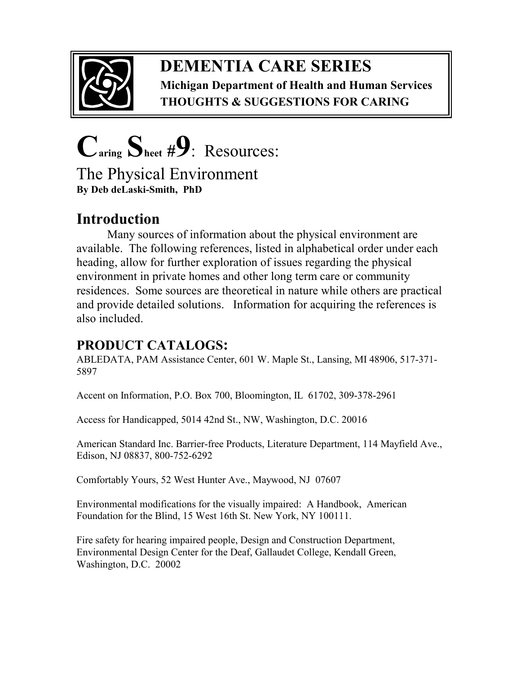

## **DEMENTIA CARE SERIES Michigan Department of Health and Human Services THOUGHTS & SUGGEST ONS FOR CAR NG**

 $C_{\text{aring}} S_{\text{heet}}$  #9: Resources: The Physical Environment **By Deb deLaski-Smith, PhD** 

# **ntroduction**

Many sources of information about the physical environment are available. The following references, listed in alphabetical order under each heading, allow for further exploration of issues regarding the physical environment in private homes and other long term care or community residences. Some sources are theoretical in nature while others are practical and provide detailed solutions. Information for acquiring the references is also included.

## **PRODUCT CATALOGS:**

ABLEDATA, PAM Assistance Center, 601 W. Maple St., Lansing, MI 48906, 517-371- 5897

Accent on Information, P.O. Box 700, Bloomington, IL 61702, 309-378-2961

Access for Handicapped, 5014 42nd St., NW, Washington, D.C. 20016

American Standard Inc. Barrier-free Products, Literature Department, 114 Mayfield Ave., Edison, NJ 08837, 800-752-6292

Comfortably Yours, 52 West Hunter Ave., Maywood, NJ 07607

Environmental modifications for the visually impaired: A Handbook, American Foundation for the Blind, 15 West 16th St. New York, NY 100111.

Fire safety for hearing impaired people, Design and Construction Department, Environmental Design Center for the Deaf, Gallaudet College, Kendall Green, Washington, D.C. 20002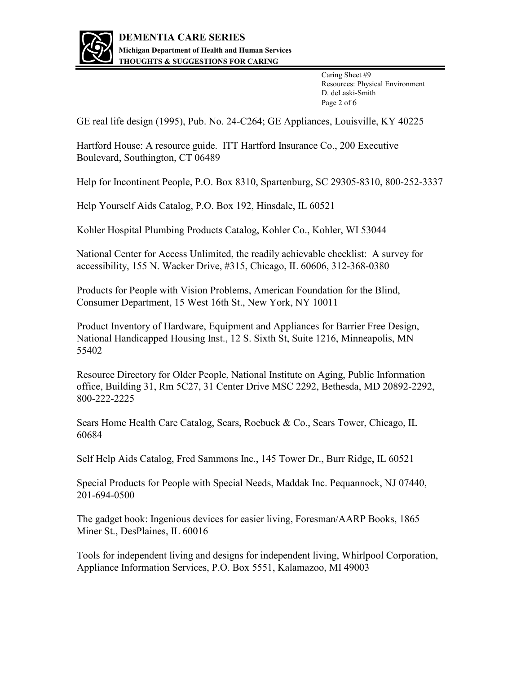

Caring Sheet #9 Resources: Physical Environment D. deLaski-Smith Page 2 of 6

GE real life design (1995), Pub. No. 24-C264; GE Appliances, Louisville, KY 40225

Hartford House: A resource guide. ITT Hartford Insurance Co., 200 Executive Boulevard, Southington, CT 06489

Help for Incontinent People, P.O. Box 8310, Spartenburg, SC 29305-8310, 800-252-3337

Help Yourself Aids Catalog, P.O. Box 192, Hinsdale, IL 60521

Kohler Hospital Plumbing Products Catalog, Kohler Co., Kohler, WI 53044

National Center for Access Unlimited, the readily achievable checklist: A survey for accessibility, 155 N. Wacker Drive, #315, Chicago, IL 60606, 312-368-0380

Products for People with Vision Problems, American Foundation for the Blind, Consumer Department, 15 West 16th St., New York, NY 10011

Product Inventory of Hardware, Equipment and Appliances for Barrier Free Design, National Handicapped Housing Inst., 12 S. Sixth St, Suite 1216, Minneapolis, MN 55402

Resource Directory for Older People, National Institute on Aging, Public Information office, Building 31, Rm 5C27, 31 Center Drive MSC 2292, Bethesda, MD 20892-2292, 800-222-2225

Sears Home Health Care Catalog, Sears, Roebuck & Co., Sears Tower, Chicago, IL 60684

Self Help Aids Catalog, Fred Sammons Inc., 145 Tower Dr., Burr Ridge, IL 60521

Special Products for People with Special Needs, Maddak Inc. Pequannock, NJ 07440, 201-694-0500

The gadget book: Ingenious devices for easier living, Foresman/AARP Books, 1865 Miner St., DesPlaines, IL 60016

Tools for independent living and designs for independent living, Whirlpool Corporation, Appliance Information Services, P.O. Box 5551, Kalamazoo, MI 49003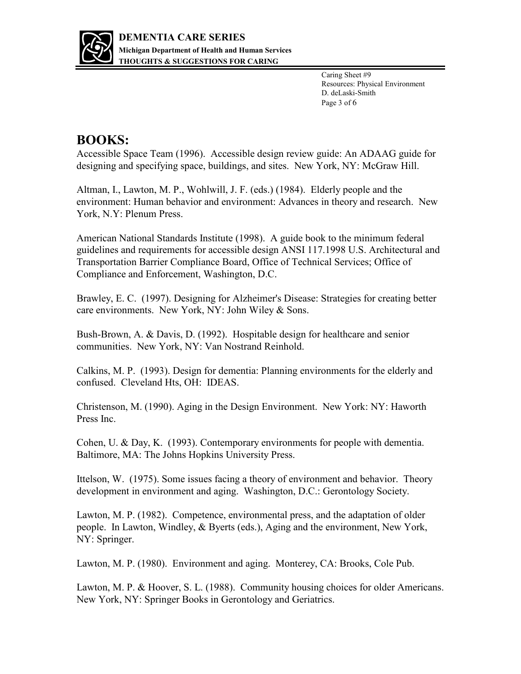

 Caring Sheet #9 Resources: Physical Environment Page 3 of 6 D. deLaski-Smith

#### **BOOKS:**

Accessible Space Team (1996). Accessible design review guide: An ADAAG guide for designing and specifying space, buildings, and sites. New York, NY: McGraw Hill.

Altman, I., Lawton, M. P., Wohlwill, J. F. (eds.) (1984). Elderly people and the environment: Human behavior and environment: Advances in theory and research. New York, N.Y: Plenum Press.

American National Standards Institute (1998). A guide book to the minimum federal guidelines and requirements for accessible design ANSI 117.1998 U.S. Architectural and Transportation Barrier Compliance Board, Office of Technical Services; Office of Compliance and Enforcement, Washington, D.C.

Brawley, E. C. (1997). Designing for Alzheimer's Disease: Strategies for creating better care environments. New York, NY: John Wiley & Sons.

Bush-Brown, A. & Davis, D. (1992). Hospitable design for healthcare and senior communities. New York, NY: Van Nostrand Reinhold.

Calkins, M. P. (1993). Design for dementia: Planning environments for the elderly and confused. Cleveland Hts, OH: IDEAS.

Christenson, M. (1990). Aging in the Design Environment. New York: NY: Haworth Press Inc.

Cohen, U. & Day, K. (1993). Contemporary environments for people with dementia. Baltimore, MA: The Johns Hopkins University Press.

Ittelson, W. (1975). Some issues facing a theory of environment and behavior. Theory development in environment and aging. Washington, D.C.: Gerontology Society.

Lawton, M. P. (1982). Competence, environmental press, and the adaptation of older people. In Lawton, Windley, & Byerts (eds.), Aging and the environment, New York, NY: Springer.

Lawton, M. P. (1980). Environment and aging. Monterey, CA: Brooks, Cole Pub.

Lawton, M. P. & Hoover, S. L. (1988). Community housing choices for older Americans. New York, NY: Springer Books in Gerontology and Geriatrics.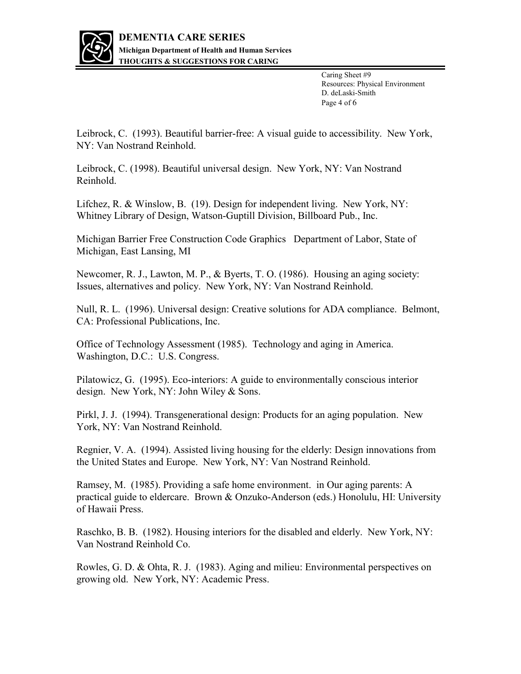

 Caring Sheet #9 Resources: Physical Environment Page 4 of 6 D. deLaski-Smith

Leibrock, C. (1993). Beautiful barrier-free: A visual guide to accessibility. New York, NY: Van Nostrand Reinhold.

Leibrock, C. (1998). Beautiful universal design. New York, NY: Van Nostrand Reinhold.

Lifchez, R. & Winslow, B. (19). Design for independent living. New York, NY: Whitney Library of Design, Watson-Guptill Division, Billboard Pub., Inc.

Michigan Barrier Free Construction Code Graphics Department of Labor, State of Michigan, East Lansing, MI

Newcomer, R. J., Lawton, M. P., & Byerts, T. O. (1986). Housing an aging society: Issues, alternatives and policy. New York, NY: Van Nostrand Reinhold.

Null, R. L. (1996). Universal design: Creative solutions for ADA compliance. Belmont, CA: Professional Publications, Inc.

Office of Technology Assessment (1985). Technology and aging in America. Washington, D.C.: U.S. Congress.

Pilatowicz, G. (1995). Eco-interiors: A guide to environmentally conscious interior design. New York, NY: John Wiley & Sons.

Pirkl, J. J. (1994). Transgenerational design: Products for an aging population. New York, NY: Van Nostrand Reinhold.

Regnier, V. A. (1994). Assisted living housing for the elderly: Design innovations from the United States and Europe. New York, NY: Van Nostrand Reinhold.

Ramsey, M. (1985). Providing a safe home environment. in Our aging parents: A practical guide to eldercare. Brown & Onzuko-Anderson (eds.) Honolulu, HI: University of Hawaii Press.

Raschko, B. B. (1982). Housing interiors for the disabled and elderly. New York, NY: Van Nostrand Reinhold Co.

Rowles, G. D. & Ohta, R. J. (1983). Aging and milieu: Environmental perspectives on growing old. New York, NY: Academic Press.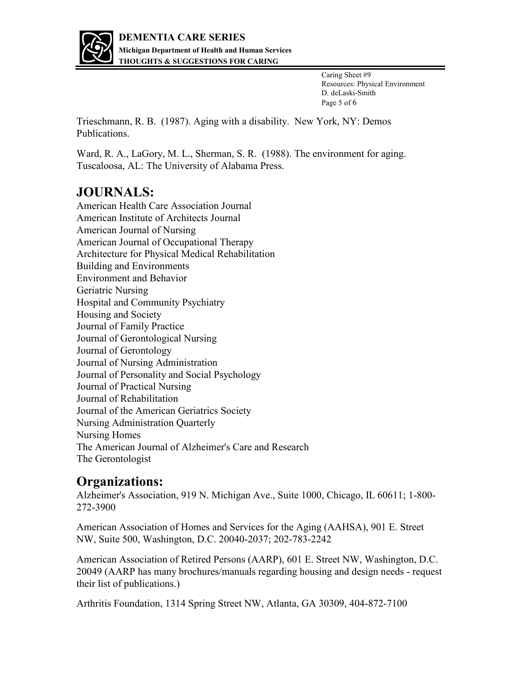

Caring Sheet #9 Resources: Physical Environment D. deLaski-Smith Page 5 of 6

Trieschmann, R. B. (1987). Aging with a disability. New York, NY: Demos Publications.

Ward, R. A., LaGory, M. L., Sherman, S. R. (1988). The environment for aging. Tuscaloosa, AL: The University of Alabama Press.

## **JOURNALS:**

American Health Care Association Journal American Institute of Architects Journal American Journal of Nursing American Journal of Occupational Therapy Architecture for Physical Medical Rehabilitation **Building and Environments Environment and Behavior** Geriatric Nursing Hospital and Community Psychiatry Housing and Society Journal of Family Practice Journal of Gerontological Nursing Journal of Gerontology Journal of Nursing Administration Journal of Personality and Social Psychology Journal of Practical Nursing Journal of Rehabilitation Journal of the American Geriatrics Society Nursing Administration Quarterly **Nursing Homes** The American Journal of Alzheimer's Care and Research The Gerontologist

#### **Organizations:**

Alzheimer's Association, 919 N. Michigan Ave., Suite 1000, Chicago, IL 60611; 1-800-272-3900

American Association of Homes and Services for the Aging (AAHSA), 901 E. Street NW, Suite 500, Washington, D.C. 20040-2037; 202-783-2242

American Association of Retired Persons (AARP), 601 E. Street NW, Washington, D.C. 20049 (AARP has many brochures/manuals regarding housing and design needs - request their list of publications.)

Arthritis Foundation, 1314 Spring Street NW, Atlanta, GA 30309, 404-872-7100